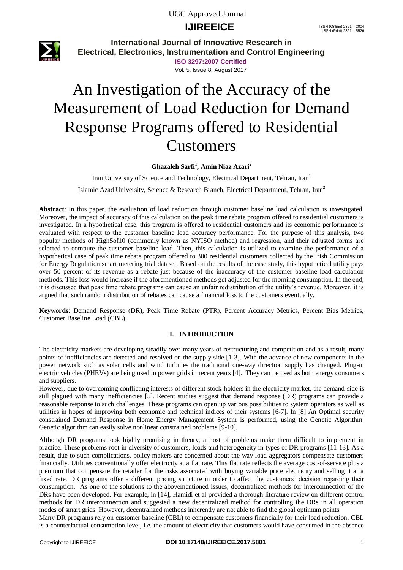# **IJIREEICE** ISSN (Online) 2321 – 2004



**International Journal of Innovative Research in Electrical, Electronics, Instrumentation and Control Engineering**

> **ISO 3297:2007 Certified** Vol. 5, Issue 8, August 2017

# An Investigation of the Accuracy of the Measurement of Load Reduction for Demand Response Programs offered to Residential Customers

### **Ghazaleh Sarfi<sup>1</sup> , Amin Niaz Azari<sup>2</sup>**

Iran University of Science and Technology, Electrical Department, Tehran, Iran<sup>1</sup> Islamic Azad University, Science & Research Branch, Electrical Department, Tehran, Iran<sup>2</sup>

**Abstract**: In this paper, the evaluation of load reduction through customer baseline load calculation is investigated. Moreover, the impact of accuracy of this calculation on the peak time rebate program offered to residential customers is investigated. In a hypothetical case, this program is offered to residential customers and its economic performance is evaluated with respect to the customer baseline load accuracy performance. For the purpose of this analysis, two popular methods of High5of10 (commonly known as NYISO method) and regression, and their adjusted forms are selected to compute the customer baseline load. Then, this calculation is utilized to examine the performance of a hypothetical case of peak time rebate program offered to 300 residential customers collected by the Irish Commission for Energy Regulation smart metering trial dataset. Based on the results of the case study, this hypothetical utility pays over 50 percent of its revenue as a rebate just because of the inaccuracy of the customer baseline load calculation methods. This loss would increase if the aforementioned methods get adjusted for the morning consumption. In the end, it is discussed that peak time rebate programs can cause an unfair redistribution of the utility's revenue. Moreover, it is argued that such random distribution of rebates can cause a financial loss to the customers eventually.

**Keywords**: Demand Response (DR), Peak Time Rebate (PTR), Percent Accuracy Metrics, Percent Bias Metrics, Customer Baseline Load (CBL).

### **I. INTRODUCTION**

The electricity markets are developing steadily over many years of restructuring and competition and as a result, many points of inefficiencies are detected and resolved on the supply side [1-3]. With the advance of new components in the power network such as solar cells and wind turbines the traditional one-way direction supply has changed. Plug-in electric vehicles (PHEVs) are being used in power grids in recent years [4]. They can be used as both energy consumers and suppliers.

However, due to overcoming conflicting interests of different stock-holders in the electricity market, the demand-side is still plagued with many inefficiencies [5]. Recent studies suggest that demand response (DR) programs can provide a reasonable response to such challenges. These programs can open up various possibilities to system operators as well as utilities in hopes of improving both economic and technical indices of their systems [6-7]. In [8] An Optimal security constrained Demand Response in Home Energy Management System is performed, using the Genetic Algorithm. Genetic algorithm can easily solve nonlinear constrained problems [9-10].

Although DR programs look highly promising in theory, a host of problems make them difficult to implement in practice. These problems root in diversity of customers, loads and heterogeneity in types of DR programs [11-13]. As a result, due to such complications, policy makers are concerned about the way load aggregators compensate customers financially. Utilities conventionally offer electricity at a flat rate. This flat rate reflects the average cost-of-service plus a premium that compensate the retailer for the risks associated with buying variable price electricity and selling it at a fixed rate. DR programs offer a different pricing structure in order to affect the customers' decision regarding their consumption. As one of the solutions to the abovementioned issues, decentralized methods for interconnection of the DRs have been developed. For example, in [14], Hamidi et al provided a thorough literature review on different control methods for DR interconnection and suggested a new decentralized method for controlling the DRs in all operation modes of smart grids. However, decentralized methods inherently are not able to find the global optimum points.

Many DR programs rely on customer baseline (CBL) to compensate customers financially for their load reduction. CBL is a counterfactual consumption level, i.e. the amount of electricity that customers would have consumed in the absence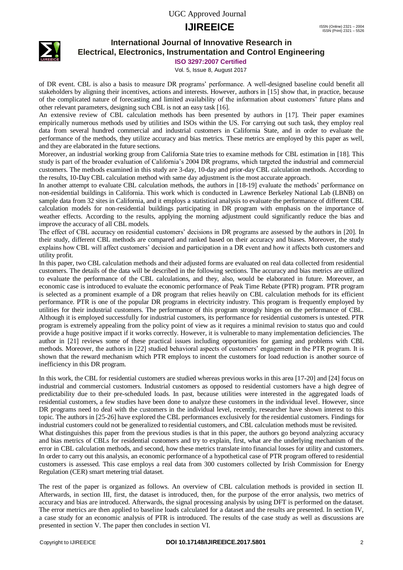# **IJIREEICE** ISSN (Online) 2321 – 2004



### **International Journal of Innovative Research in Electrical, Electronics, Instrumentation and Control Engineering**

**ISO 3297:2007 Certified**

Vol. 5, Issue 8, August 2017

of DR event. CBL is also a basis to measure DR programs' performance. A well-designed baseline could benefit all stakeholders by aligning their incentives, actions and interests. However, authors in [15] show that, in practice, because of the complicated nature of forecasting and limited availability of the information about customers' future plans and other relevant parameters, designing such CBL is not an easy task [16].

An extensive review of CBL calculation methods has been presented by authors in [17]. Their paper examines empirically numerous methods used by utilities and ISOs within the US. For carrying out such task, they employ real data from several hundred commercial and industrial customers in California State, and in order to evaluate the performance of the methods, they utilize accuracy and bias metrics. These metrics are employed by this paper as well, and they are elaborated in the future sections.

Moreover, an industrial working group from California State tries to examine methods for CBL estimation in [18]. This study is part of the broader evaluation of California's 2004 DR programs, which targeted the industrial and commercial customers. The methods examined in this study are 3-day, 10-day and prior-day CBL calculation methods. According to the results, 10-Day CBL calculation method with same day adjustment is the most accurate approach.

In another attempt to evaluate CBL calculation methods, the authors in [18-19] evaluate the methods' performance on non-residential buildings in California. This work which is conducted in Lawrence Berkeley National Lab (LBNB) on sample data from 32 sites in California, and it employs a statistical analysis to evaluate the performance of different CBL calculation models for non-residential buildings participating in DR program with emphasis on the importance of weather effects. According to the results, applying the morning adjustment could significantly reduce the bias and improve the accuracy of all CBL models.

The effect of CBL accuracy on residential customers' decisions in DR programs are assessed by the authors in [20]. In their study, different CBL methods are compared and ranked based on their accuracy and biases. Moreover, the study explains how CBL will affect customers' decision and participation in a DR event and how it affects both customers and utility profit.

In this paper, two CBL calculation methods and their adjusted forms are evaluated on real data collected from residential customers. The details of the data will be described in the following sections. The accuracy and bias metrics are utilized to evaluate the performance of the CBL calculations, and they, also, would be elaborated in future. Moreover, an economic case is introduced to evaluate the economic performance of Peak Time Rebate (PTR) program. PTR program is selected as a prominent example of a DR program that relies heavily on CBL calculation methods for its efficient performance. PTR is one of the popular DR programs in electricity industry. This program is frequently employed by utilities for their industrial customers. The performance of this program strongly hinges on the performance of CBL. Although it is employed successfully for industrial customers, its performance for residential customers is untested. PTR program is extremely appealing from the policy point of view as it requires a minimal revision to status quo and could provide a huge positive impact if it works correctly. However, it is vulnerable to many implementation deficiencies. The author in [21] reviews some of these practical issues including opportunities for gaming and problems with CBL methods. Moreover, the authors in [22] studied behavioral aspects of customers' engagement in the PTR program. It is shown that the reward mechanism which PTR employs to incent the customers for load reduction is another source of inefficiency in this DR program.

In this work, the CBL for residential customers are studied whereas previous works in this area [17-20] and [24] focus on industrial and commercial customers. Industrial customers as opposed to residential customers have a high degree of predictability due to their pre-scheduled loads. In past, because utilities were interested in the aggregated loads of residential customers, a few studies have been done to analyze these customers in the individual level. However, since DR programs need to deal with the customers in the individual level, recently, researcher have shown interest to this topic. The authors in [25-26] have explored the CBL performances exclusively for the residential customers. Findings for industrial customers could not be generalized to residential customers, and CBL calculation methods must be revisited. What distinguishes this paper from the previous studies is that in this paper, the authors go beyond analyzing accuracy and bias metrics of CBLs for residential customers and try to explain, first, what are the underlying mechanism of the error in CBL calculation methods, and second, how these metrics translate into financial losses for utility and customers. In order to carry out this analysis, an economic performance of a hypothetical case of PTR program offered to residential customers is assessed. This case employs a real data from 300 customers collected by Irish Commission for Energy

Regulation (CER) smart metering trial dataset.

The rest of the paper is organized as follows. An overview of CBL calculation methods is provided in section II. Afterwards, in section III, first, the dataset is introduced, then, for the purpose of the error analysis, two metrics of accuracy and bias are introduced. Afterwards, the signal processing analysis by using DFT is performed on the dataset. The error metrics are then applied to baseline loads calculated for a dataset and the results are presented. In section IV, a case study for an economic analysis of PTR is introduced. The results of the case study as well as discussions are presented in section V. The paper then concludes in section VI.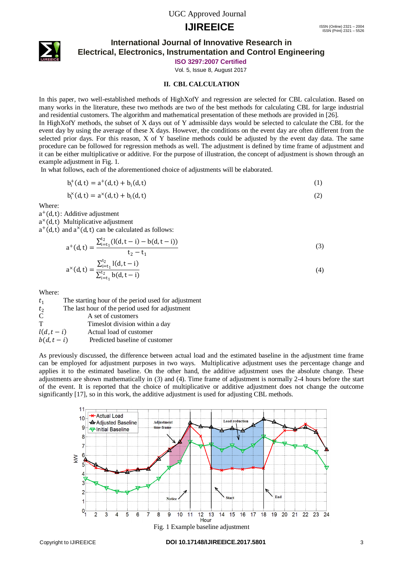# **IJIREEICE** ISSN (Online) 2321 – 2004



### **International Journal of Innovative Research in Electrical, Electronics, Instrumentation and Control Engineering**

**ISO 3297:2007 Certified**

Vol. 5, Issue 8, August 2017

### **II. CBL CALCULATION**

In this paper, two well-established methods of HighXofY and regression are selected for CBL calculation. Based on many works in the literature, these two methods are two of the best methods for calculating CBL for large industrial and residential customers. The algorithm and mathematical presentation of these methods are provided in [26].

In HighXofY methods, the subset of X days out of Y admissible days would be selected to calculate the CBL for the event day by using the average of these X days. However, the conditions on the event day are often different from the selected prior days. For this reason, X of Y baseline methods could be adjusted by the event day data. The same procedure can be followed for regression methods as well. The adjustment is defined by time frame of adjustment and it can be either multiplicative or additive. For the purpose of illustration, the concept of adjustment is shown through an example adjustment in Fig. 1.

In what follows, each of the aforementioned choice of adjustments will be elaborated.

$$
b_i^+(d,t) = a^+(d,t) + b_i(d,t)
$$
\n(1)

$$
b_i^{\times}(d, t) = a^{\times}(d, t) + b_i(d, t)
$$
\n(2)

Where:

a <sup>+</sup>(d,t): Additive adjustment

a <sup>×</sup>(d,t) Multiplicative adjustment

 $a^+(d,t)$  and  $a^*(d,t)$  can be calculated as follows:

$$
a^{+}(d,t) = \frac{\sum_{i=t_1}^{t_2} (l(d,t-i) - b(d,t-i))}{t_2 - t_1}
$$
\n(3)

$$
a^{\times}(d,t) = \frac{\sum_{i=t_1}^{t_2} l(d,t-i)}{\sum_{i=t_1}^{t_2} b(d,t-i)}
$$
(4)

Where:

 $t_1$  The starting hour of the period used for adjustment

 $t_2$  The last hour of the period used for adjustment  $C$  A set of customers

 $A$  set of customers

T Timeslot division within a day  $l(d, t - i)$  Actual load of customer

 $b(d, t - i)$  Predicted baseline of customer

As previously discussed, the difference between actual load and the estimated baseline in the adjustment time frame can be employed for adjustment purposes in two ways. Multiplicative adjustment uses the percentage change and applies it to the estimated baseline. On the other hand, the additive adjustment uses the absolute change. These adjustments are shown mathematically in (3) and (4). Time frame of adjustment is normally 2-4 hours before the start of the event. It is reported that the choice of multiplicative or additive adjustment does not change the outcome significantly [17], so in this work, the additive adjustment is used for adjusting CBL methods.



Fig. 1 Example baseline adjustment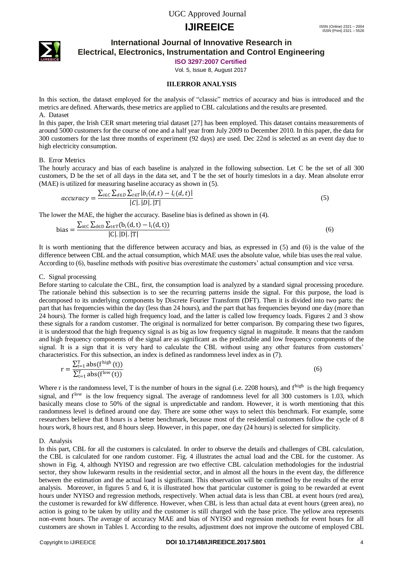# **IJIREEICE** ISSN (Online) 2321 – 2004



### **International Journal of Innovative Research in Electrical, Electronics, Instrumentation and Control Engineering**

**ISO 3297:2007 Certified**

Vol. 5, Issue 8, August 2017

#### **III.ERROR ANALYSIS**

In this section, the dataset employed for the analysis of "classic" metrics of accuracy and bias is introduced and the metrics are defined. Afterwards, these metrics are applied to CBL calculations and the results are presented. A. Dataset

In this paper, the Irish CER smart metering trial dataset [27] has been employed. This dataset contains measurements of around 5000 customers for the course of one and a half year from July 2009 to December 2010. In this paper, the data for 300 customers for the last three months of experiment (92 days) are used. Dec 22nd is selected as an event day due to high electricity consumption.

#### B. Error Metrics

The hourly accuracy and bias of each baseline is analyzed in the following subsection. Let C be the set of all 300 customers, D be the set of all days in the data set, and T be the set of hourly timeslots in a day. Mean absolute error (MAE) is utilized for measuring baseline accuracy as shown in (5).

$$
accuracy = \frac{\sum_{i \in C} \sum_{d \in D} \sum_{t \in T} |b_i(d, t) - l_i(d, t)|}{|C| \cdot |D| \cdot |T|}
$$
\n
$$
(5)
$$

The lower the MAE, the higher the accuracy. Baseline bias is defined as shown in (4).

bias = 
$$
\frac{\sum_{i \in C} \sum_{d \in D} \sum_{t \in T} (b_i(d, t) - l_i(d, t))}{|C| |D| |T|}
$$
 (6)

It is worth mentioning that the difference between accuracy and bias, as expressed in (5) and (6) is the value of the difference between CBL and the actual consumption, which MAE uses the absolute value, while bias uses the real value. According to (6), baseline methods with positive bias overestimate the customers' actual consumption and vice versa.

#### C. Signal processing

Before starting to calculate the CBL, first, the consumption load is analyzed by a standard signal processing procedure. The rationale behind this subsection is to see the recurring patterns inside the signal. For this purpose, the load is decomposed to its underlying components by Discrete Fourier Transform (DFT). Then it is divided into two parts: the part that has frequencies within the day (less than 24 hours), and the part that has frequencies beyond one day (more than 24 hours). The former is called high frequency load, and the latter is called low frequency loads. Figures 2 and 3 show these signals for a random customer. The original is normalized for better comparison. By comparing these two figures, it is understood that the high frequency signal is as big as low frequency signal in magnitude. It means that the random and high frequency components of the signal are as significant as the predictable and low frequency components of the signal. It is a sign that it is very hard to calculate the CBL without using any other features from customers' characteristics. For this subsection, an index is defined as randomness level index as in (7).

$$
r = \frac{\sum_{t=1}^{T} abs(f^{high}(t))}{\sum_{t=1}^{T} abs(f^{low}(t))}
$$
(6)

Where r is the randomness level, T is the number of hours in the signal (i.e. 2208 hours), and f<sup>high</sup> is the high frequency signal, and f<sup>low</sup> is the low frequency signal. The average of randomness level for all 300 customers is 1.03, which basically means close to 50% of the signal is unpredictable and random. However, it is worth mentioning that this randomness level is defined around one day. There are some other ways to select this benchmark. For example, some researchers believe that 8 hours is a better benchmark, because most of the residential customers follow the cycle of 8 hours work, 8 hours rest, and 8 hours sleep. However, in this paper, one day (24 hours) is selected for simplicity.

D. Analysis

In this part, CBL for all the customers is calculated. In order to observe the details and challenges of CBL calculation, the CBL is calculated for one random customer. Fig. 4 illustrates the actual load and the CBL for the customer. As shown in Fig. 4, although NYISO and regression are two effective CBL calculation methodologies for the industrial sector, they show lukewarm results in the residential sector, and in almost all the hours in the event day, the difference between the estimation and the actual load is significant. This observation will be confirmed by the results of the error analysis. Moreover, in figures 5 and 6, it is illustrated how that particular customer is going to be rewarded at event hours under NYISO and regression methods, respectively. When actual data is less than CBL at event hours (red area), the customer is rewarded for kW difference. However, when CBL is less than actual data at event hours (green area), no action is going to be taken by utility and the customer is still charged with the base price. The yellow area represents non-event hours. The average of accuracy MAE and bias of NYISO and regression methods for event hours for all customers are shown in Tables I. According to the results, adjustment does not improve the outcome of employed CBL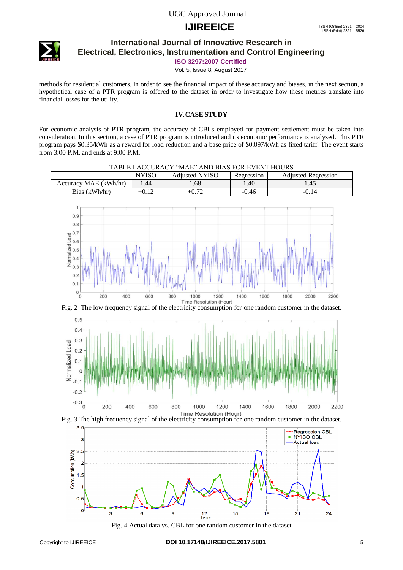# **IJIREEICE** ISSN (Online) 2321 – 2004



### **International Journal of Innovative Research in Electrical, Electronics, Instrumentation and Control Engineering**

**ISO 3297:2007 Certified**

Vol. 5, Issue 8, August 2017

methods for residential customers. In order to see the financial impact of these accuracy and biases, in the next section, a hypothetical case of a PTR program is offered to the dataset in order to investigate how these metrics translate into financial losses for the utility.

### **IV.CASE STUDY**

For economic analysis of PTR program, the accuracy of CBLs employed for payment settlement must be taken into consideration. In this section, a case of PTR program is introduced and its economic performance is analyzed. This PTR program pays \$0.35/kWh as a reward for load reduction and a base price of \$0.097/kWh as fixed tariff. The event starts from 3:00 P.M. and ends at 9:00 P.M.









Fig. 4 Actual data vs. CBL for one random customer in the dataset

 $\epsilon$  $-0.1$  $-0.2$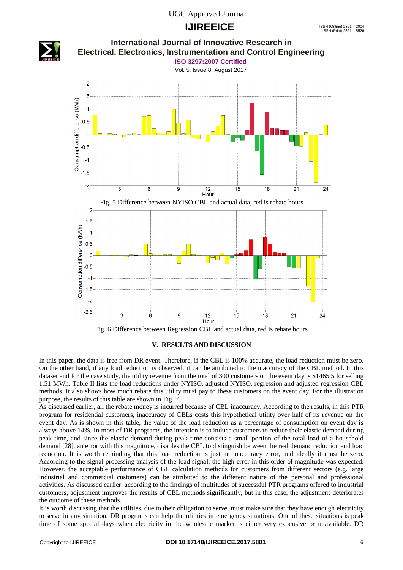## **IJIREEICE** ISSN (Online) 2321 – 2004



Fig. 6 Difference between Regression CBL and actual data, red is rebate hours

#### **V. RESULTS AND DISCUSSION**

In this paper, the data is free from DR event. Therefore, if the CBL is 100% accurate, the load reduction must be zero. On the other hand, if any load reduction is observed, it can be attributed to the inaccuracy of the CBL method. In this dataset and for the case study, the utility revenue from the total of 300 customers on the event day is \$1465.5 for selling 1.51 MWh. Table II lists the load reductions under NYISO, adjusted NYISO, regression and adjusted regression CBL methods. It also shows how much rebate this utility must pay to these customers on the event day. For the illustration purpose, the results of this table are shown in Fig. 7.

As discussed earlier, all the rebate money is incurred because of CBL inaccuracy. According to the results, in this PTR program for residential customers, inaccuracy of CBLs costs this hypothetical utility over half of its revenue on the event day. As is shown in this table, the value of the load reduction as a percentage of consumption on event day is always above 14%. In most of DR programs, the intention is to induce customers to reduce their elastic demand during peak time, and since the elastic demand during peak time consists a small portion of the total load of a household demand [28], an error with this magnitude, disables the CBL to distinguish between the real demand reduction and load reduction. It is worth reminding that this load reduction is just an inaccuracy error, and ideally it must be zero. According to the signal processing analysis of the load signal, the high error in this order of magnitude was expected. However, the acceptable performance of CBL calculation methods for customers from different sectors (e.g. large industrial and commercial customers) can be attributed to the different nature of the personal and professional activities. As discussed earlier, according to the findings of multitudes of successful PTR programs offered to industrial customers, adjustment improves the results of CBL methods significantly, but in this case, the adjustment deteriorates the outcome of these methods.

It is worth discussing that the utilities, due to their obligation to serve, must make sure that they have enough electricity to serve in any situation. DR programs can help the utilities in emergency situations. One of these situations is peak time of some special days when electricity in the wholesale market is either very expensive or unavailable. DR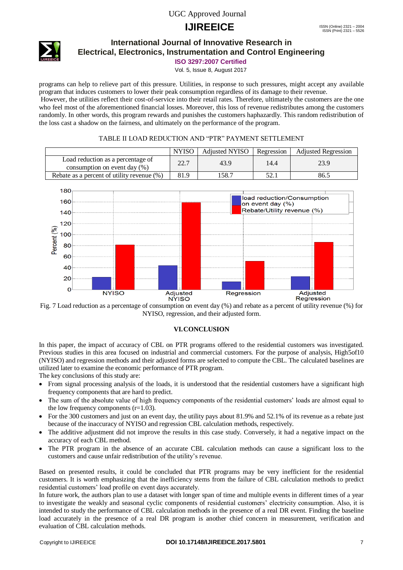# **IJIREEICE** ISSN (Online) 2321 – 2004



### **International Journal of Innovative Research in Electrical, Electronics, Instrumentation and Control Engineering**

**ISO 3297:2007 Certified**

Vol. 5, Issue 8, August 2017

programs can help to relieve part of this pressure. Utilities, in response to such pressures, might accept any available program that induces customers to lower their peak consumption regardless of its damage to their revenue.

However, the utilities reflect their cost-of-service into their retail rates. Therefore, ultimately the customers are the one who feel most of the aforementioned financial losses. Moreover, this loss of revenue redistributes among the customers randomly. In other words, this program rewards and punishes the customers haphazardly. This random redistribution of the loss cast a shadow on the fairness, and ultimately on the performance of the program.

### TABLE II LOAD REDUCTION AND "PTR" PAYMENT SETTLEMENT

|                                                                      | <b>NYISO</b> | <b>Adjusted NYISO</b> | Regression | <b>Adjusted Regression</b> |
|----------------------------------------------------------------------|--------------|-----------------------|------------|----------------------------|
| Load reduction as a percentage of<br>consumption on event day $(\%)$ | 22.7         | 43.9                  | 14.4       | 23.9                       |
| Rebate as a percent of utility revenue $(\%)$                        | 81.9         | 158.7                 | 52.        | 86.5                       |



Fig. 7 Load reduction as a percentage of consumption on event day (%) and rebate as a percent of utility revenue (%) for NYISO, regression, and their adjusted form.

### **VI.CONCLUSION**

In this paper, the impact of accuracy of CBL on PTR programs offered to the residential customers was investigated. Previous studies in this area focused on industrial and commercial customers. For the purpose of analysis, High5of10 (NYISO) and regression methods and their adjusted forms are selected to compute the CBL. The calculated baselines are utilized later to examine the economic performance of PTR program.

The key conclusions of this study are:

- From signal processing analysis of the loads, it is understood that the residential customers have a significant high frequency components that are hard to predict.
- The sum of the absolute value of high frequency components of the residential customers' loads are almost equal to the low frequency components  $(r=1.03)$ .
- For the 300 customers and just on an event day, the utility pays about 81.9% and 52.1% of its revenue as a rebate just because of the inaccuracy of NYISO and regression CBL calculation methods, respectively.
- The additive adjustment did not improve the results in this case study. Conversely, it had a negative impact on the accuracy of each CBL method.
- The PTR program in the absence of an accurate CBL calculation methods can cause a significant loss to the customers and cause unfair redistribution of the utility's revenue.

Based on presented results, it could be concluded that PTR programs may be very inefficient for the residential customers. It is worth emphasizing that the inefficiency stems from the failure of CBL calculation methods to predict residential customers' load profile on event days accurately.

In future work, the authors plan to use a dataset with longer span of time and multiple events in different times of a year to investigate the weakly and seasonal cyclic components of residential customers' electricity consumption. Also, it is intended to study the performance of CBL calculation methods in the presence of a real DR event. Finding the baseline load accurately in the presence of a real DR program is another chief concern in measurement, verification and evaluation of CBL calculation methods.